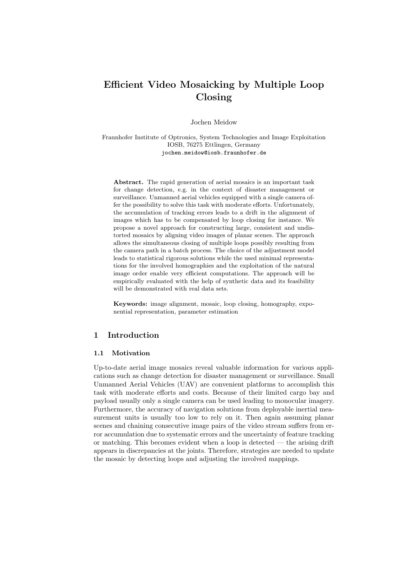# Efficient Video Mosaicking by Multiple Loop Closing

Jochen Meidow

Fraunhofer Institute of Optronics, System Technologies and Image Exploitation IOSB, 76275 Ettlingen, Germany jochen.meidow@iosb.fraunhofer.de

Abstract. The rapid generation of aerial mosaics is an important task for change detection, e.g. in the context of disaster management or surveillance. Unmanned aerial vehicles equipped with a single camera offer the possibility to solve this task with moderate efforts. Unfortunately, the accumulation of tracking errors leads to a drift in the alignment of images which has to be compensated by loop closing for instance. We propose a novel approach for constructing large, consistent and undistorted mosaics by aligning video images of planar scenes. The approach allows the simultaneous closing of multiple loops possibly resulting from the camera path in a batch process. The choice of the adjustment model leads to statistical rigorous solutions while the used minimal representations for the involved homographies and the exploitation of the natural image order enable very efficient computations. The approach will be empirically evaluated with the help of synthetic data and its feasibility will be demonstrated with real data sets.

Keywords: image alignment, mosaic, loop closing, homography, exponential representation, parameter estimation

# 1 Introduction

## 1.1 Motivation

Up-to-date aerial image mosaics reveal valuable information for various applications such as change detection for disaster management or surveillance. Small Unmanned Aerial Vehicles (UAV) are convenient platforms to accomplish this task with moderate efforts and costs. Because of their limited cargo bay and payload usually only a single camera can be used leading to monocular imagery. Furthermore, the accuracy of navigation solutions from deployable inertial measurement units is usually too low to rely on it. Then again assuming planar scenes and chaining consecutive image pairs of the video stream suffers from error accumulation due to systematic errors and the uncertainty of feature tracking or matching. This becomes evident when a loop is detected — the arising drift appears in discrepancies at the joints. Therefore, strategies are needed to update the mosaic by detecting loops and adjusting the involved mappings.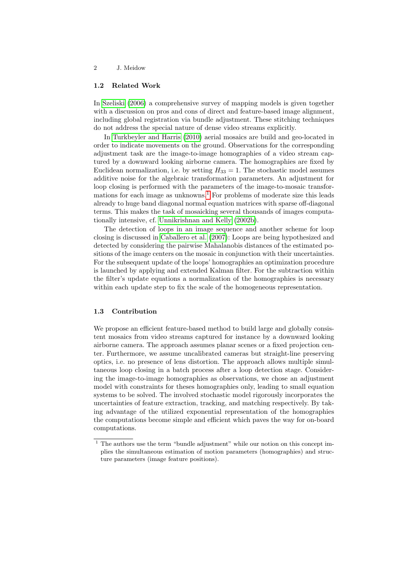## 1.2 Related Work

In [Szeliski](#page-11-0) [\(2006\)](#page-11-0) a comprehensive survey of mapping models is given together with a discussion on pros and cons of direct and feature-based image alignment, including global registration via bundle adjustment. These stitching techniques do not address the special nature of dense video streams explicitly.

In [Turkbeyler and Harris](#page-11-1) [\(2010\)](#page-11-1) aerial mosaics are build and geo-located in order to indicate movements on the ground. Observations for the corresponding adjustment task are the image-to-image homographies of a video stream captured by a downward looking airborne camera. The homographies are fixed by Euclidean normalization, i.e. by setting  $H_{33} = 1$ . The stochastic model assumes additive noise for the algebraic transformation parameters. An adjustment for loop closing is performed with the parameters of the image-to-mosaic transfor-mations for each image as unknowns.<sup>[1](#page-1-0)</sup> For problems of moderate size this leads already to huge band diagonal normal equation matrices with sparse off-diagonal terms. This makes the task of mosaicking several thousands of images computationally intensive, cf. [Unnikrishnan and Kelly](#page-11-2) [\(2002b\)](#page-11-2).

The detection of loops in an image sequence and another scheme for loop closing is discussed in [Caballero et al.](#page-10-0) [\(2007\)](#page-10-0): Loops are being hypothesized and detected by considering the pairwise Mahalanobis distances of the estimated positions of the image centers on the mosaic in conjunction with their uncertainties. For the subsequent update of the loops' homographies an optimization procedure is launched by applying and extended Kalman filter. For the subtraction within the filter's update equations a normalization of the homographies is necessary within each update step to fix the scale of the homogeneous representation.

#### 1.3 Contribution

We propose an efficient feature-based method to build large and globally consistent mosaics from video streams captured for instance by a downward looking airborne camera. The approach assumes planar scenes or a fixed projection center. Furthermore, we assume uncalibrated cameras but straight-line preserving optics, i.e. no presence of lens distortion. The approach allows multiple simultaneous loop closing in a batch process after a loop detection stage. Considering the image-to-image homographies as observations, we chose an adjustment model with constraints for theses homographies only, leading to small equation systems to be solved. The involved stochastic model rigorously incorporates the uncertainties of feature extraction, tracking, and matching respectively. By taking advantage of the utilized exponential representation of the homographies the computations become simple and efficient which paves the way for on-board computations.

<span id="page-1-0"></span> $\frac{1}{1}$  The authors use the term "bundle adjustment" while our notion on this concept implies the simultaneous estimation of motion parameters (homographies) and structure parameters (image feature positions).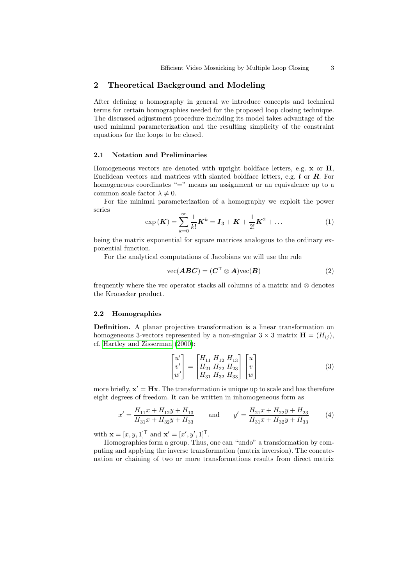## 2 Theoretical Background and Modeling

After defining a homography in general we introduce concepts and technical terms for certain homographies needed for the proposed loop closing technique. The discussed adjustment procedure including its model takes advantage of the used minimal parameterization and the resulting simplicity of the constraint equations for the loops to be closed.

#### 2.1 Notation and Preliminaries

Homogeneous vectors are denoted with upright boldface letters, e.g. x or H, Euclidean vectors and matrices with slanted boldface letters, e.g. l or R. For homogeneous coordinates "=" means an assignment or an equivalence up to a common scale factor  $\lambda \neq 0$ .

For the minimal parameterization of a homography we exploit the power series

<span id="page-2-0"></span>
$$
\exp\left(\mathbf{K}\right) = \sum_{k=0}^{\infty} \frac{1}{k!} \mathbf{K}^{k} = \mathbf{I}_{3} + \mathbf{K} + \frac{1}{2!} \mathbf{K}^{2} + \dots
$$
 (1)

being the matrix exponential for square matrices analogous to the ordinary exponential function.

For the analytical computations of Jacobians we will use the rule

<span id="page-2-1"></span>
$$
\text{vec}(\mathbf{A}\mathbf{B}\mathbf{C}) = (\mathbf{C}^{\mathsf{T}} \otimes \mathbf{A})\text{vec}(\mathbf{B})
$$
(2)

frequently where the vec operator stacks all columns of a matrix and  $\otimes$  denotes the Kronecker product.

#### 2.2 Homographies

Definition. A planar projective transformation is a linear transformation on homogeneous 3-vectors represented by a non-singular  $3 \times 3$  matrix  $\mathbf{H} = (H_{ii})$ , cf. [Hartley and Zisserman](#page-11-3) [\(2000\)](#page-11-3):

$$
\begin{bmatrix} u' \\ v' \\ w' \end{bmatrix} = \begin{bmatrix} H_{11} & H_{12} & H_{13} \\ H_{21} & H_{22} & H_{23} \\ H_{31} & H_{32} & H_{33} \end{bmatrix} \begin{bmatrix} u \\ v \\ w \end{bmatrix}
$$
 (3)

more briefly,  $x' = Hx$ . The transformation is unique up to scale and has therefore eight degrees of freedom. It can be written in inhomogeneous form as

$$
x' = \frac{H_{11}x + H_{12}y + H_{13}}{H_{31}x + H_{32}y + H_{33}} \quad \text{and} \quad y' = \frac{H_{21}x + H_{22}y + H_{23}}{H_{31}x + H_{32}y + H_{33}} \tag{4}
$$

with  $\mathbf{x} = [x, y, 1]^\mathsf{T}$  and  $\mathbf{x}' = [x', y', 1]^\mathsf{T}$ .

Homographies form a group. Thus, one can "undo" a transformation by computing and applying the inverse transformation (matrix inversion). The concatenation or chaining of two or more transformations results from direct matrix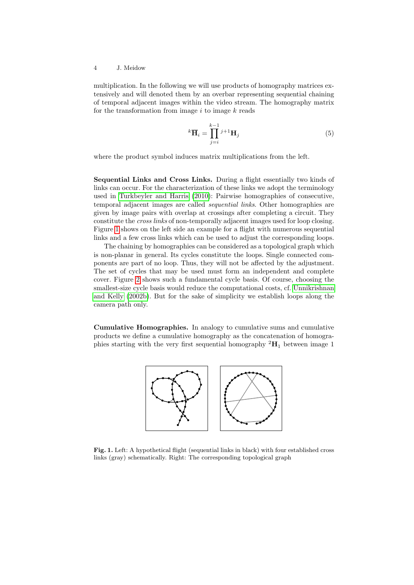multiplication. In the following we will use products of homography matrices extensively and will denoted them by an overbar representing sequential chaining of temporal adjacent images within the video stream. The homography matrix for the transformation from image  $i$  to image  $k$  reads

<span id="page-3-1"></span>
$$
{}^{k}\overline{\mathbf{H}}_{i} = \prod_{j=i}^{k-1} {}^{j+1}\mathbf{H}_{j}
$$
\n
$$
\tag{5}
$$

where the product symbol induces matrix multiplications from the left.

Sequential Links and Cross Links. During a flight essentially two kinds of links can occur. For the characterization of these links we adopt the terminology used in [Turkbeyler and Harris](#page-11-1) [\(2010\)](#page-11-1): Pairwise homographies of consecutive, temporal adjacent images are called sequential links. Other homographies are given by image pairs with overlap at crossings after completing a circuit. They constitute the cross links of non-temporally adjacent images used for loop closing. Figure [1](#page-3-0) shows on the left side an example for a flight with numerous sequential links and a few cross links which can be used to adjust the corresponding loops.

The chaining by homographies can be considered as a topological graph which is non-planar in general. Its cycles constitute the loops. Single connected components are part of no loop. Thus, they will not be affected by the adjustment. The set of cycles that may be used must form an independent and complete cover. Figure [2](#page-4-0) shows such a fundamental cycle basis. Of course, choosing the smallest-size cycle basis would reduce the computational costs, cf. [Unnikrishnan](#page-11-2) [and Kelly](#page-11-2) [\(2002b\)](#page-11-2). But for the sake of simplicity we establish loops along the camera path only.

Cumulative Homographies. In analogy to cumulative sums and cumulative products we define a cumulative homography as the concatenation of homographies starting with the very first sequential homography  ${}^{2}H_{1}$  between image 1



<span id="page-3-0"></span>Fig. 1. Left: A hypothetical flight (sequential links in black) with four established cross links (gray) schematically. Right: The corresponding topological graph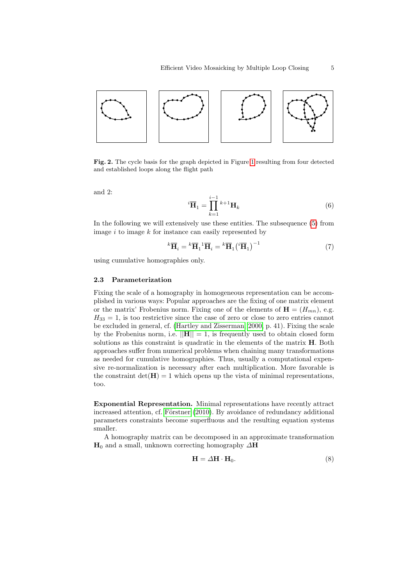

<span id="page-4-0"></span>Fig. 2. The cycle basis for the graph depicted in Figure [1](#page-3-0) resulting from four detected and established loops along the flight path

and 2:

$$
{}^{i}\overline{\mathbf{H}}_{1} = \prod_{k=1}^{i-1} {}^{k+1}\mathbf{H}_{k}
$$
\n
$$
\tag{6}
$$

In the following we will extensively use these entities. The subsequence [\(5\)](#page-3-1) from image  $i$  to image  $k$  for instance can easily represented by

<span id="page-4-2"></span>
$$
{}^{k}\overline{\mathbf{H}}_{i} = {}^{k}\overline{\mathbf{H}}_{1} {}^{1}\overline{\mathbf{H}}_{i} = {}^{k}\overline{\mathbf{H}}_{1} \left( {}^{i}\overline{\mathbf{H}}_{1} \right) ^{-1} \tag{7}
$$

using cumulative homographies only.

#### 2.3 Parameterization

Fixing the scale of a homography in homogeneous representation can be accomplished in various ways: Popular approaches are the fixing of one matrix element or the matrix' Frobenius norm. Fixing one of the elements of  $\mathbf{H} = (H_{mn})$ , e.g.  $H_{33} = 1$ , is too restrictive since the case of zero or close to zero entries cannot be excluded in general, cf. [\(Hartley and Zisserman, 2000,](#page-11-3) p. 41). Fixing the scale by the Frobenius norm, i.e.  $||\mathbf{H}|| = 1$ , is frequently used to obtain closed form solutions as this constraint is quadratic in the elements of the matrix H. Both approaches suffer from numerical problems when chaining many transformations as needed for cumulative homographies. Thus, usually a computational expensive re-normalization is necessary after each multiplication. More favorable is the constraint  $det(\mathbf{H}) = 1$  which opens up the vista of minimal representations, too.

Exponential Representation. Minimal representations have recently attract increased attention, cf. Förstner  $(2010)$ . By avoidance of redundancy additional parameters constraints become superfluous and the resulting equation systems smaller.

A homography matrix can be decomposed in an approximate transformation  $H_0$  and a small, unknown correcting homography  $\Delta H$ 

<span id="page-4-1"></span>
$$
\mathbf{H} = \Delta \mathbf{H} \cdot \mathbf{H}_0. \tag{8}
$$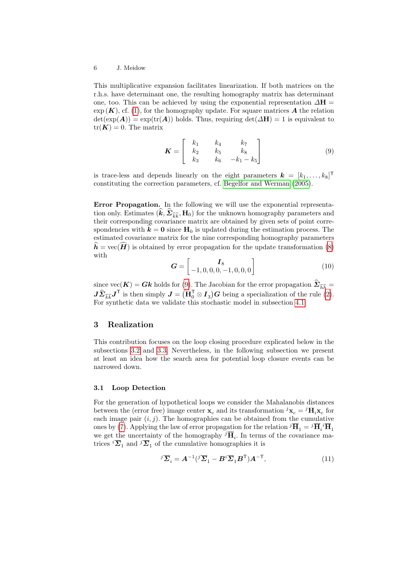This multiplicative expansion facilitates linearization. If both matrices on the r.h.s. have determinant one, the resulting homography matrix has determinant one, too. This can be achieved by using the exponential representation  $\Delta H =$  $\exp(K)$ , cf. [\(1\)](#page-2-0), for the homography update. For square matrices **A** the relation  $\det(\exp(A)) = \exp(\text{tr}(A))$  holds. Thus, requiring  $\det(\Delta H) = 1$  is equivalent to  $tr(K) = 0$ . The matrix

<span id="page-5-0"></span>
$$
\boldsymbol{K} = \begin{bmatrix} k_1 & k_4 & k_7 \\ k_2 & k_5 & k_8 \\ k_3 & k_6 & -k_1 - k_5 \end{bmatrix}
$$
 (9)

is trace-less and depends linearly on the eight parameters  $\mathbf{k} = [k_1, \ldots, k_8]^T$ constituting the correction parameters, cf. [Begelfor and Werman](#page-10-2) [\(2005\)](#page-10-2).

Error Propagation. In the following we will use the exponential representation only. Estimates  $(k, \Sigma_{\widehat{k}\widehat{k}}, H_0)$  for the unknown homography parameters and their corresponding covariance matrix are obtained by given sets of point correspondencies with  $k = 0$  since  $H_0$  is updated during the estimation process. The estimated covariance matrix for the nine corresponding homography parameters  $\hat{\mathbf{h}} = \text{vec}(\widehat{\mathbf{H}})$  is obtained by error propagation for the update transformation [\(8\)](#page-4-1) with

<span id="page-5-1"></span>
$$
G = \begin{bmatrix} I_8 \\ -1, 0, 0, 0, -1, 0, 0, 0 \end{bmatrix}
$$
 (10)

since  $\text{vec}(\boldsymbol{K}) = \boldsymbol{G}\boldsymbol{k}$  holds for [\(9\)](#page-5-0). The Jacobian for the error propagation  $\widehat{\boldsymbol{\Sigma}}_{\widehat{h}\widehat{h}} =$  $J\hat{\Sigma}_{\widehat{k}\widehat{k}}J^{\mathsf{T}}$  is then simply  $J = (\mathbf{H}_{0}^{\mathsf{T}} \otimes I_{3})\mathbf{G}$  being a specialization of the rule [\(2\)](#page-2-1). For synthetic data we validate this stochastic model in subsection [4.1.](#page-8-0)

## 3 Realization

This contribution focuses on the loop closing procedure explicated below in the subsections [3.2](#page-6-0) and [3.3.](#page-7-0) Nevertheless, in the following subsection we present at least an idea how the search area for potential loop closure events can be narrowed down.

#### <span id="page-5-2"></span>3.1 Loop Detection

For the generation of hypothetical loops we consider the Mahalanobis distances between the (error free) image center  $\mathbf{x}_c$  and its transformation  ${}^j\mathbf{x}_c = {}^j\mathbf{H}_i\mathbf{x}_c$  for each image pair  $(i, j)$ . The homographies can be obtained from the cumulative ones by [\(7\)](#page-4-2). Applying the law of error propagation for the relation  ${}^j\overline{\mathbf{H}}_1 = {}^j\overline{\mathbf{H}}_i {}^i\overline{\mathbf{H}}_1$ we get the uncertainty of the homography  ${}^{j}\overline{\mathbf{H}}_{i}$ . In terms of the covariance matrices  $^{i}\overline{\Sigma}_{1}$  and  $^{j}\overline{\Sigma}_{1}$  of the cumulative homographies it is

$$
{}^{j}\overline{\Sigma}_{i} = A^{-1}({}^{j}\overline{\Sigma}_{1} - B^{i}\overline{\Sigma}_{1}B^{\mathsf{T}})A^{-\mathsf{T}}, \tag{11}
$$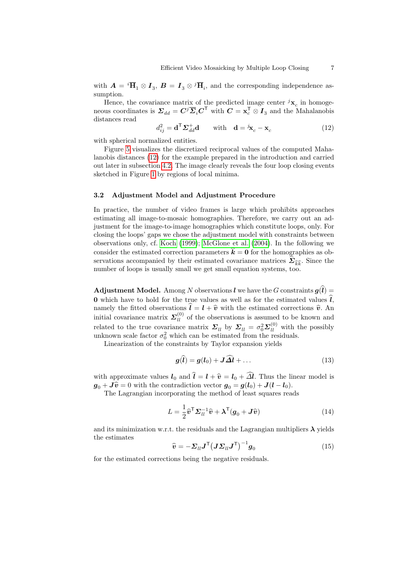with  $A = {}^{i}\overline{H}_{1} \otimes I_{3}$ ,  $B = I_{3} \otimes {}^{j}\overline{H}_{i}$ , and the corresponding independence assumption.

Hence, the covariance matrix of the predicted image center  ${}^{j}$ **x**<sub>c</sub> in homogeneous coordinates is  $\Sigma_{dd} = C^j \overline{\Sigma}_i C^{\mathsf{T}}$  with  $C = \mathbf{x}_c^{\mathsf{T}} \otimes I_3$  and the Mahalanobis distances read

<span id="page-6-1"></span>
$$
d_{ij}^2 = \mathbf{d}^{\mathsf{T}} \mathbf{\Sigma}_{dd}^+ \mathbf{d} \qquad \text{with} \quad \mathbf{d} = {}^j \mathbf{x}_c - \mathbf{x}_c \tag{12}
$$

with spherical normalized entities.

Figure [5](#page-10-3) visualizes the discretized reciprocal values of the computed Mahalanobis distances [\(12\)](#page-6-1) for the example prepared in the introduction and carried out later in subsection [4.2.](#page-8-1) The image clearly reveals the four loop closing events sketched in Figure [1](#page-3-0) by regions of local minima.

#### <span id="page-6-0"></span>3.2 Adjustment Model and Adjustment Procedure

In practice, the number of video frames is large which prohibits approaches estimating all image-to-mosaic homographies. Therefore, we carry out an adjustment for the image-to-image homographies which constitute loops, only. For closing the loops' gaps we chose the adjustment model with constraints between observations only, cf. [Koch](#page-11-4) [\(1999\)](#page-11-4); [McGlone et al.](#page-11-5) [\(2004\)](#page-11-5). In the following we consider the estimated correction parameters  $\hat{k} = 0$  for the homographies as observations accompanied by their estimated covariance matrices  $\Sigma_{\hat{k}\hat{k}}$ . Since the number of loops is usually small we get small equation systems, too.

**Adjustment Model.** Among N observations l we have the G constraints  $g(\hat{l}) =$ **0** which have to hold for the true values as well as for the estimated values  $\hat{l}$ , namely the fitted observations  $\hat{l} = l + \hat{v}$  with the estimated corrections  $\hat{v}$ . An initial covariance matrix  $\Sigma_{ll}^{(0)}$  of the observations is assumed to be known and related to the true covariance matrix  $\Sigma_{ll}$  by  $\Sigma_{ll} = \sigma_0^2 \Sigma_{ll}^{(0)}$  with the possibly unknown scale factor  $\sigma_0^2$  which can be estimated from the residuals.

Linearization of the constraints by Taylor expansion yields

$$
g(\hat{l}) = g(l_0) + J\widehat{\Delta l} + \dots \tag{13}
$$

with approximate values  $l_0$  and  $\hat{l} = l + \hat{v} = l_0 + \hat{\Delta l}$ . Thus the linear model is  $g_0 + J\hat{v} = 0$  with the contradiction vector  $g_0 = g(l_0) + J(l - l_0)$ .

The Lagrangian incorporating the method of least squares reads

$$
L = \frac{1}{2} \widehat{\mathbf{v}}^{\mathsf{T}} \mathbf{\Sigma}_{ll}^{-1} \widehat{\mathbf{v}} + \boldsymbol{\lambda}^{\mathsf{T}} (\boldsymbol{g}_0 + \boldsymbol{J} \widehat{\boldsymbol{v}})
$$
(14)

and its minimization w.r.t. the residuals and the Lagrangian multipliers  $\lambda$  yields the estimates

<span id="page-6-2"></span>
$$
\widehat{\boldsymbol{v}} = -\boldsymbol{\Sigma}_{ll}\boldsymbol{J}^{\mathsf{T}}\big(\boldsymbol{J}\boldsymbol{\Sigma}_{ll}\boldsymbol{J}^{\mathsf{T}}\big)^{-1}\boldsymbol{g}_{0}
$$
\n(15)

for the estimated corrections being the negative residuals.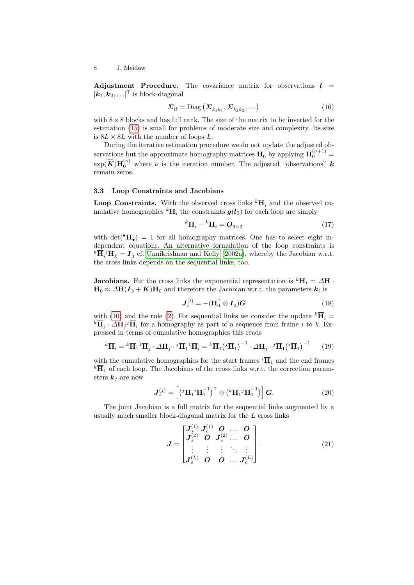Adjustment Procedure. The covariance matrix for observations  $l =$  $[\mathbf{k}_1, \mathbf{k}_2, \ldots]^\mathsf{T}$  is block-diagonal

$$
\Sigma_{ll} = \text{Diag}\left(\Sigma_{k_1k_1}, \Sigma_{k_2k_2}, \ldots\right) \tag{16}
$$

with  $8 \times 8$  blocks and has full rank. The size of the matrix to be inverted for the estimation [\(15\)](#page-6-2) is small for problems of moderate size and complexity. Its size is  $8L \times 8L$  with the number of loops L.

During the iterative estimation procedure we do not update the adjusted observations but the approximate homography matrices  $\mathbf{H}_0$  by applying  $\mathbf{H}_0^{(\nu+1)}$  =  $\exp(\widehat{\mathbf{K}})\mathbf{H}_{0}^{(\nu)}$  where  $\nu$  is the iteration number. The adjusted "observations" k remain zeros.

#### <span id="page-7-0"></span>3.3 Loop Constraints and Jacobians

**Loop Constraints.** With the observed cross links  ${}^k\mathbf{H}_i$  and the observed cumulative homographies  ${}^k\overline{\mathbf{H}}_i$  the constraints  $\boldsymbol{g}(\boldsymbol{l}_0)$  for each loop are simply

$$
{}^{k}\overline{\mathbf{H}}_{i} - {}^{k}\mathbf{H}_{i} = \mathbf{O}_{3\times3} \tag{17}
$$

with  $\det(\mathbf{H}_{\bullet}) = 1$  for all homography matrices. One has to select eight independent equations. An alternative formulation of the loop constraints is  ${}^{k}\overline{\mathbf{H}}_{i}{}^{i}\mathbf{H}_{k} = \mathbf{I}_{3}$  cf. [Unnikrishnan and Kelly](#page-11-6) [\(2002a\)](#page-11-6), whereby the Jacobian w.r.t. the cross links depends on the sequential links, too.

**Jacobians.** For the cross links the exponential representation is  ${}^k\mathbf{H}_i = \Delta \mathbf{H} \cdot$  $H_0 \approx \Delta H (I_3 + K) H_0$  and therefore the Jacobian w.r.t. the parameters  $k_i$  is

$$
\mathbf{J}_c^{(i)} = -(\mathbf{H}_0^{\mathsf{T}} \otimes \mathbf{I}_3) \mathbf{G} \tag{18}
$$

with [\(10\)](#page-5-1) and the rule [\(2\)](#page-2-1). For sequential links we consider the update  ${}^k\overline{H}_i$  =  ${}^{k}\overline{\mathbf{H}}_{j} \cdot \Delta \mathbf{H}_{j}{}^{j}\overline{\mathbf{H}}_{i}$  for a homography as part of a sequence from frame i to k. Expressed in terms of cumulative homographies this reads

$$
{}^{k}\overline{\mathbf{H}}_{i} = {}^{k}\overline{\mathbf{H}}_{1} {}^{1}\overline{\mathbf{H}}_{j} \cdot \Delta \mathbf{H}_{j} \cdot {}^{j}\overline{\mathbf{H}}_{1} {}^{1}\overline{\mathbf{H}}_{i} = {}^{k}\overline{\mathbf{H}}_{1} \left( {}^{j}\overline{\mathbf{H}}_{1} \right)^{-1} \cdot \Delta \mathbf{H}_{j} \cdot {}^{j}\overline{\mathbf{H}}_{1} \left( {}^{i}\overline{\mathbf{H}}_{1} \right)^{-1} \tag{19}
$$

with the cumulative homographies for the start frames  ${}^{i}\overline{H}_{1}$  and the end frames  ${}^{k}\overline{H}_{1}$  of each loop. The Jacobians of the cross links w.r.t. the correction parameters  $k_i$  are now

$$
\mathbf{J}_s^{(j)} = \left[ \left( {}^{j} \overline{\mathbf{H}}_1 {}^{i} \overline{\mathbf{H}}_1^{-1} \right)^{\mathsf{T}} \otimes \left( {}^{k} \overline{\mathbf{H}}_1 {}^{j} \overline{\mathbf{H}}_1^{-1} \right) \right] \mathbf{G}.
$$
 (20)

The joint Jacobian is a full matrix for the sequential links augmented by a usually much smaller block-diagonal matrix for the L cross links

$$
J = \begin{bmatrix} J_s^{(1)} & J_c^{(1)} & O & \dots & O \\ J_s^{(2)} & O & J_c^{(2)} & \dots & O \\ \vdots & \vdots & \vdots & \ddots & \vdots \\ J_s^{(L)} & O & O & \dots & J_c^{(L)} \end{bmatrix} . \tag{21}
$$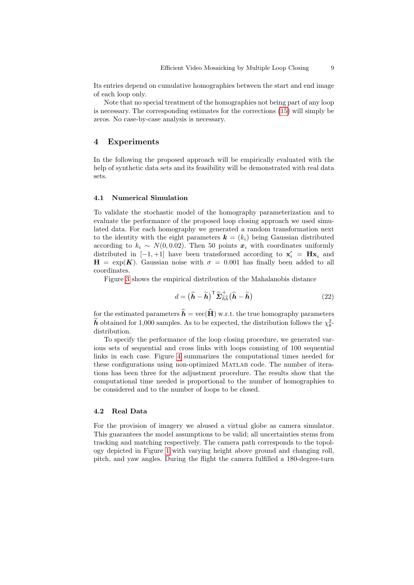Its entries depend on cumulative homographies between the start and end image of each loop only.

Note that no special treatment of the homographies not being part of any loop is necessary. The corresponding estimates for the corrections [\(15\)](#page-6-2) will simply be zeros. No case-by-case analysis is necessary.

# 4 Experiments

In the following the proposed approach will be empirically evaluated with the help of synthetic data sets and its feasibility will be demonstrated with real data sets.

#### <span id="page-8-0"></span>4.1 Numerical Simulation

To validate the stochastic model of the homography parameterization and to evaluate the performance of the proposed loop closing approach we used simulated data. For each homography we generated a random transformation next to the identity with the eight parameters  $\mathbf{k} = (k_i)$  being Gaussian distributed according to  $k_i \sim N(0, 0.02)$ . Then 50 points  $x_i$  with coordinates uniformly distributed in  $[-1, +1]$  have been transformed according to  $\mathbf{x}'_i = \mathbf{H}\mathbf{x}_i$  and  $H = exp(K)$ . Gaussian noise with  $\sigma = 0.001$  has finally been added to all coordinates.

Figure [3](#page-9-0) shows the empirical distribution of the Mahalanobis distance

<span id="page-8-2"></span>
$$
d = \left(\widehat{\boldsymbol{h}} - \widetilde{\boldsymbol{h}}\right)^{\mathsf{T}} \widehat{\boldsymbol{\Sigma}}_{\widehat{\boldsymbol{h}}\widehat{\boldsymbol{h}}}^{\mathsf{T}} \left(\widehat{\boldsymbol{h}} - \widetilde{\boldsymbol{h}}\right)
$$
\n<sup>(22)</sup>

for the estimated parameters  $\widehat{\boldsymbol{h}} = \text{vec}(\widehat{\mathbf{H}})$  w.r.t. the true homography parameters he obtained for 1,000 samples. As to be expected, the distribution follows the  $\chi^2_{8}$ distribution.

To specify the performance of the loop closing procedure, we generated various sets of sequential and cross links with loops consisting of 100 sequential links in each case. Figure [4](#page-9-1) summarizes the computational times needed for these configurations using non-optimized Matlab code. The number of iterations has been three for the adjustment procedure. The results show that the computational time needed is proportional to the number of homographies to be considered and to the number of loops to be closed.

## <span id="page-8-1"></span>4.2 Real Data

For the provision of imagery we abused a virtual globe as camera simulator. This guarantees the model assumptions to be valid; all uncertainties stems from tracking and matching respectively. The camera path corresponds to the topology depicted in Figure [1](#page-3-0) with varying height above ground and changing roll, pitch, and yaw angles. During the flight the camera fulfilled a 180-degree-turn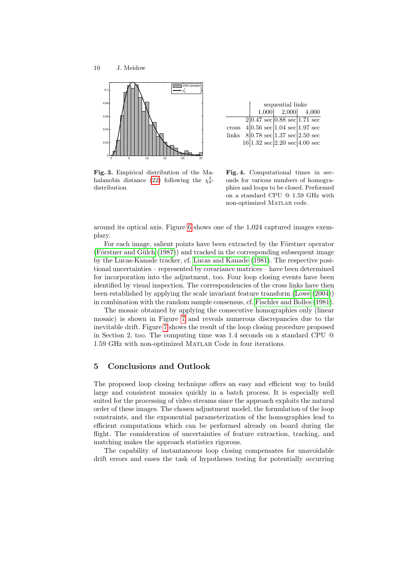

<span id="page-9-0"></span>Fig. 3. Empirical distribution of the Ma-halanobis distance [\(22\)](#page-8-2) following the  $\chi^2_{8}$ distribution

|                                                              | sequential links                                        |  |                         |  |  |  |
|--------------------------------------------------------------|---------------------------------------------------------|--|-------------------------|--|--|--|
|                                                              |                                                         |  | $1,000$ $2,000$ $4,000$ |  |  |  |
|                                                              | $2 0.47 \text{ sec} 0.88 \text{ sec} 1.71 \text{ sec}$  |  |                         |  |  |  |
| cross $4 0.56 \text{ sec} 1.04 \text{ sec} 1.97 \text{ sec}$ |                                                         |  |                         |  |  |  |
| links $8 0.78 \text{ sec} 1.37 \text{ sec} 2.50 \text{ sec}$ |                                                         |  |                         |  |  |  |
|                                                              | $16 1.32 \text{ sec} 2.20 \text{ sec} 4.00 \text{ sec}$ |  |                         |  |  |  |

<span id="page-9-1"></span>Fig. 4. Computational times in seconds for various numbers of homographies and loops to be closed. Performed on a standard CPU @ 1.59 GHz with non-optimized Matlab code.

around its optical axis. Figure [6](#page-10-4) shows one of the 1,024 captured images exemplary.

For each image, salient points have been extracted by the Förstner operator  $(Förstner and Gülch (1987))$  $(Förstner and Gülch (1987))$  $(Förstner and Gülch (1987))$  and tracked in the corresponding subsequent image by the Lucas-Kanade tracker, cf. [Lucas and Kanade](#page-11-8) [\(1981\)](#page-11-8). The respective positional uncertainties – represented by covariance matrices – have been determined for incorporation into the adjustment, too. Four loop closing events have been identified by visual inspection. The correspondencies of the cross links have then been established by applying the scale invariant feature transform [\(Lowe](#page-11-9) [\(2004\)](#page-11-9)) in combination with the random sample consensus, cf. [Fischler and Bolles](#page-10-5) [\(1981\)](#page-10-5).

The mosaic obtained by applying the consecutive homographies only (linear mosaic) is shown in Figure [7](#page-11-10) and reveals numerous discrepancies due to the inevitable drift. Figure [7](#page-11-10) shows the result of the loop closing procedure proposed in Section 2, too. The computing time was 1.4 seconds on a standard CPU @ 1.59 GHz with non-optimized Matlab Code in four iterations.

## 5 Conclusions and Outlook

The proposed loop closing technique offers an easy and efficient way to build large and consistent mosaics quickly in a batch process. It is especially well suited for the processing of video streams since the approach exploits the natural order of these images. The chosen adjustment model, the formulation of the loop constraints, and the exponential parameterization of the homographies lead to efficient computations which can be performed already on board during the flight. The consideration of uncertainties of feature extraction, tracking, and matching makes the approach statistics rigorous.

The capability of instantaneous loop closing compensates for unavoidable drift errors and eases the task of hypotheses testing for potentially occurring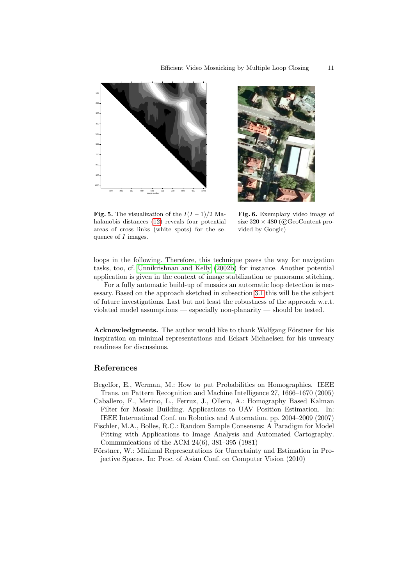



Fig. 5. The visualization of the  $I(I-1)/2$  Mahalanobis distances [\(12\)](#page-6-1) reveals four potential areas of cross links (white spots) for the sequence of I images.

<span id="page-10-4"></span>Fig. 6. Exemplary video image of size  $320 \times 480$  (©GeoContent provided by Google)

<span id="page-10-3"></span>loops in the following. Therefore, this technique paves the way for navigation tasks, too, cf. [Unnikrishnan and Kelly](#page-11-2) [\(2002b\)](#page-11-2) for instance. Another potential application is given in the context of image stabilization or panorama stitching.

For a fully automatic build-up of mosaics an automatic loop detection is necessary. Based on the approach sketched in subsection [3.1](#page-5-2) this will be the subject of future investigations. Last but not least the robustness of the approach w.r.t. violated model assumptions — especially non-planarity — should be tested.

Acknowledgments. The author would like to thank Wolfgang Förstner for his inspiration on minimal representations and Eckart Michaelsen for his unweary readiness for discussions.

## References

- <span id="page-10-2"></span>Begelfor, E., Werman, M.: How to put Probabilities on Homographies. IEEE Trans. on Pattern Recognition and Machine Intelligence 27, 1666–1670 (2005)
- <span id="page-10-0"></span>Caballero, F., Merino, L., Ferruz, J., Ollero, A.: Homography Based Kalman Filter for Mosaic Building. Applications to UAV Position Estimation. In: IEEE International Conf. on Robotics and Automation. pp. 2004–2009 (2007)
- <span id="page-10-5"></span>Fischler, M.A., Bolles, R.C.: Random Sample Consensus: A Paradigm for Model Fitting with Applications to Image Analysis and Automated Cartography. Communications of the ACM 24(6), 381–395 (1981)
- <span id="page-10-1"></span>Förstner, W.: Minimal Representations for Uncertainty and Estimation in Projective Spaces. In: Proc. of Asian Conf. on Computer Vision (2010)